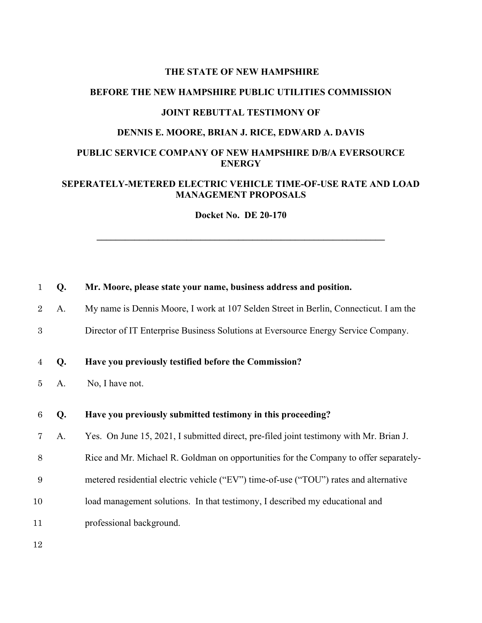# **THE STATE OF NEW HAMPSHIRE BEFORE THE NEW HAMPSHIRE PUBLIC UTILITIES COMMISSION JOINT REBUTTAL TESTIMONY OF DENNIS E. MOORE, BRIAN J. RICE, EDWARD A. DAVIS PUBLIC SERVICE COMPANY OF NEW HAMPSHIRE D/B/A EVERSOURCE ENERGY**

### **SEPERATELY-METERED ELECTRIC VEHICLE TIME-OF-USE RATE AND LOAD MANAGEMENT PROPOSALS**

**Docket No. DE 20-170**

**\_\_\_\_\_\_\_\_\_\_\_\_\_\_\_\_\_\_\_\_\_\_\_\_\_\_\_\_\_\_\_\_\_\_\_\_\_\_\_\_\_\_\_\_\_\_\_\_\_\_\_\_\_\_\_\_\_\_\_\_\_**

| 1               | Q. | Mr. Moore, please state your name, business address and position.                      |
|-----------------|----|----------------------------------------------------------------------------------------|
| $\overline{2}$  | A. | My name is Dennis Moore, I work at 107 Selden Street in Berlin, Connecticut. I am the  |
| 3               |    | Director of IT Enterprise Business Solutions at Eversource Energy Service Company.     |
| $\overline{4}$  | Q. | Have you previously testified before the Commission?                                   |
| 5               | A. | No, I have not.                                                                        |
| $6\phantom{.}6$ | Q. | Have you previously submitted testimony in this proceeding?                            |
| 7               | A. | Yes. On June 15, 2021, I submitted direct, pre-filed joint testimony with Mr. Brian J. |
| 8               |    | Rice and Mr. Michael R. Goldman on opportunities for the Company to offer separately-  |
| 9               |    | metered residential electric vehicle ("EV") time-of-use ("TOU") rates and alternative  |
| 10              |    | load management solutions. In that testimony, I described my educational and           |
| 11              |    | professional background.                                                               |
|                 |    |                                                                                        |

12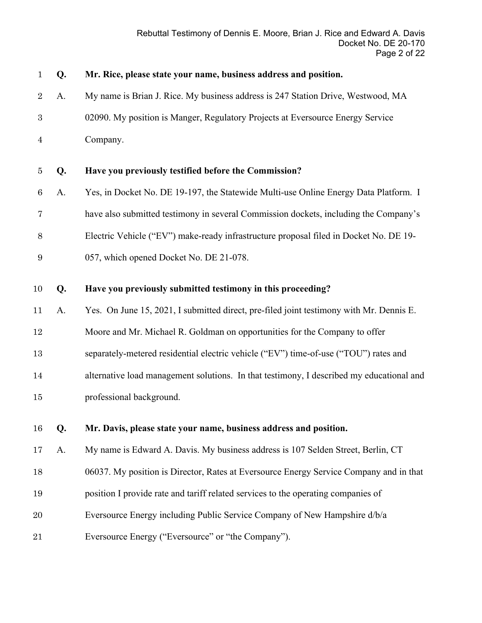| $\mathbf{1}$     | Q. | Mr. Rice, please state your name, business address and position.                         |
|------------------|----|------------------------------------------------------------------------------------------|
| $\overline{2}$   | A. | My name is Brian J. Rice. My business address is 247 Station Drive, Westwood, MA         |
| $\boldsymbol{3}$ |    | 02090. My position is Manger, Regulatory Projects at Eversource Energy Service           |
| $\overline{4}$   |    | Company.                                                                                 |
| $\overline{5}$   | Q. | Have you previously testified before the Commission?                                     |
| $\,6$            | A. | Yes, in Docket No. DE 19-197, the Statewide Multi-use Online Energy Data Platform. I     |
| 7                |    | have also submitted testimony in several Commission dockets, including the Company's     |
| 8                |    | Electric Vehicle ("EV") make-ready infrastructure proposal filed in Docket No. DE 19-    |
| $9\,$            |    | 057, which opened Docket No. DE 21-078.                                                  |
| 10               | Q. | Have you previously submitted testimony in this proceeding?                              |
| 11               | A. | Yes. On June 15, 2021, I submitted direct, pre-filed joint testimony with Mr. Dennis E.  |
| $12\,$           |    | Moore and Mr. Michael R. Goldman on opportunities for the Company to offer               |
| 13               |    | separately-metered residential electric vehicle ("EV") time-of-use ("TOU") rates and     |
| 14               |    | alternative load management solutions. In that testimony, I described my educational and |
| $15\,$           |    | professional background.                                                                 |
| 16               | Q. | Mr. Davis, please state your name, business address and position.                        |
| 17               | A. | My name is Edward A. Davis. My business address is 107 Selden Street, Berlin, CT         |
| 18               |    | 06037. My position is Director, Rates at Eversource Energy Service Company and in that   |
| 19               |    | position I provide rate and tariff related services to the operating companies of        |
| 20               |    | Eversource Energy including Public Service Company of New Hampshire d/b/a                |
| 21               |    | Eversource Energy ("Eversource" or "the Company").                                       |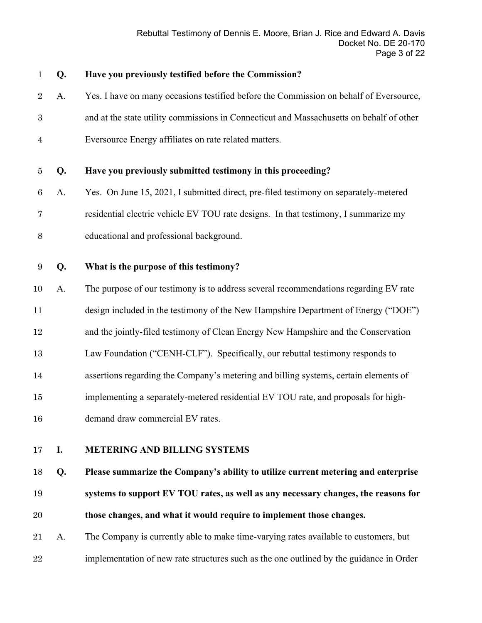| $\mathbf{1}$     | Q. | Have you previously testified before the Commission?                                     |
|------------------|----|------------------------------------------------------------------------------------------|
| $\overline{2}$   | A. | Yes. I have on many occasions testified before the Commission on behalf of Eversource,   |
| $\boldsymbol{3}$ |    | and at the state utility commissions in Connecticut and Massachusetts on behalf of other |
| $\overline{4}$   |    | Eversource Energy affiliates on rate related matters.                                    |
| 5                | Q. | Have you previously submitted testimony in this proceeding?                              |
| $\,6$            | A. | Yes. On June 15, 2021, I submitted direct, pre-filed testimony on separately-metered     |
| 7                |    | residential electric vehicle EV TOU rate designs. In that testimony, I summarize my      |
| $8\,$            |    | educational and professional background.                                                 |
| 9                | Q. | What is the purpose of this testimony?                                                   |
|                  |    |                                                                                          |
| 10               | A. | The purpose of our testimony is to address several recommendations regarding EV rate     |
| 11               |    | design included in the testimony of the New Hampshire Department of Energy ("DOE")       |
| 12               |    | and the jointly-filed testimony of Clean Energy New Hampshire and the Conservation       |
| 13               |    | Law Foundation ("CENH-CLF"). Specifically, our rebuttal testimony responds to            |
| 14               |    | assertions regarding the Company's metering and billing systems, certain elements of     |
| $15\,$           |    | implementing a separately-metered residential EV TOU rate, and proposals for high-       |
| 16               |    | demand draw commercial EV rates.                                                         |
| 17               | I. | <b>METERING AND BILLING SYSTEMS</b>                                                      |
| 18               | Q. | Please summarize the Company's ability to utilize current metering and enterprise        |
|                  |    |                                                                                          |
| 19               |    | systems to support EV TOU rates, as well as any necessary changes, the reasons for       |
| 20               |    | those changes, and what it would require to implement those changes.                     |

 A. The Company is currently able to make time-varying rates available to customers, but implementation of new rate structures such as the one outlined by the guidance in Order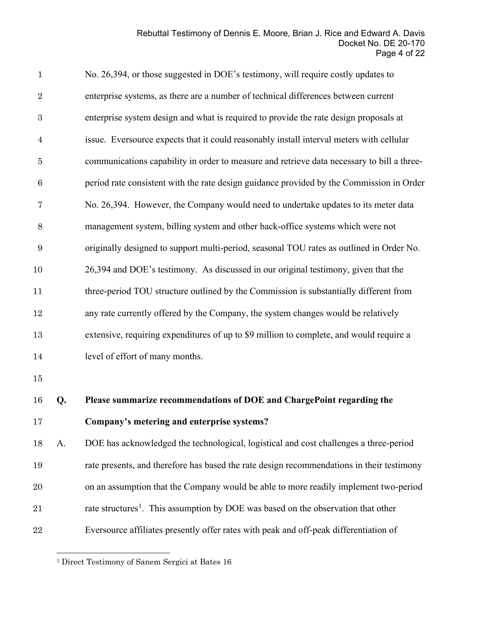| $\mathbf{1}$     |    | No. 26,394, or those suggested in DOE's testimony, will require costly updates to          |
|------------------|----|--------------------------------------------------------------------------------------------|
| $\sqrt{2}$       |    | enterprise systems, as there are a number of technical differences between current         |
| $\boldsymbol{3}$ |    | enterprise system design and what is required to provide the rate design proposals at      |
| $\overline{4}$   |    | issue. Eversource expects that it could reasonably install interval meters with cellular   |
| $\bf 5$          |    | communications capability in order to measure and retrieve data necessary to bill a three- |
| $\,6\,$          |    | period rate consistent with the rate design guidance provided by the Commission in Order   |
| $\overline{7}$   |    | No. 26,394. However, the Company would need to undertake updates to its meter data         |
| $8\,$            |    | management system, billing system and other back-office systems which were not             |
| 9                |    | originally designed to support multi-period, seasonal TOU rates as outlined in Order No.   |
| 10               |    | 26,394 and DOE's testimony. As discussed in our original testimony, given that the         |
| 11               |    | three-period TOU structure outlined by the Commission is substantially different from      |
| 12               |    | any rate currently offered by the Company, the system changes would be relatively          |
| 13               |    | extensive, requiring expenditures of up to \$9 million to complete, and would require a    |
| 14               |    | level of effort of many months.                                                            |
| 15               |    |                                                                                            |
| 16               | Q. | Please summarize recommendations of DOE and ChargePoint regarding the                      |
| 17               |    | Company's metering and enterprise systems?                                                 |
| 18               | A. | DOE has acknowledged the technological, logistical and cost challenges a three-period      |

 rate presents, and therefore has based the rate design recommendations in their testimony on an assumption that the Company would be able to more readily implement two-period [1](#page-3-0) rate structures<sup>1</sup>. This assumption by DOE was based on the observation that other Eversource affiliates presently offer rates with peak and off-peak differentiation of

<span id="page-3-0"></span>Direct Testimony of Sanem Sergici at Bates 16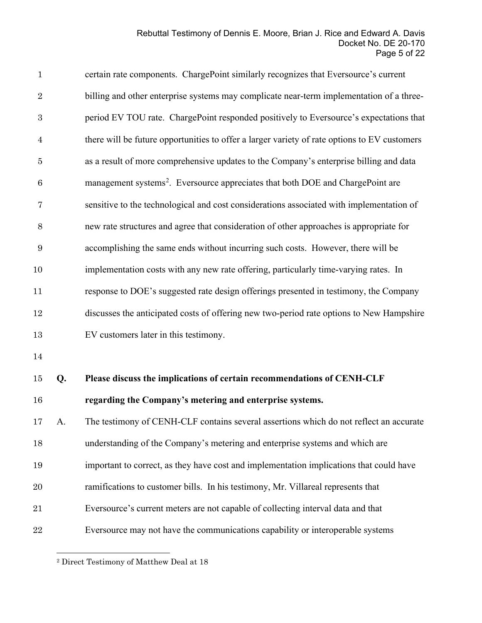| $\mathbf{1}$   |    | certain rate components. ChargePoint similarly recognizes that Eversource's current          |
|----------------|----|----------------------------------------------------------------------------------------------|
| $\overline{2}$ |    | billing and other enterprise systems may complicate near-term implementation of a three-     |
| 3              |    | period EV TOU rate. ChargePoint responded positively to Eversource's expectations that       |
| $\overline{4}$ |    | there will be future opportunities to offer a larger variety of rate options to EV customers |
| $\bf 5$        |    | as a result of more comprehensive updates to the Company's enterprise billing and data       |
| $\,6\,$        |    | management systems <sup>2</sup> . Eversource appreciates that both DOE and ChargePoint are   |
| 7              |    | sensitive to the technological and cost considerations associated with implementation of     |
| $8\,$          |    | new rate structures and agree that consideration of other approaches is appropriate for      |
| 9              |    | accomplishing the same ends without incurring such costs. However, there will be             |
| 10             |    | implementation costs with any new rate offering, particularly time-varying rates. In         |
| 11             |    | response to DOE's suggested rate design offerings presented in testimony, the Company        |
| 12             |    | discusses the anticipated costs of offering new two-period rate options to New Hampshire     |
| 13             |    | EV customers later in this testimony.                                                        |
| 14             |    |                                                                                              |
| 15             | Q. | Please discuss the implications of certain recommendations of CENH-CLF                       |
| 16             |    | regarding the Company's metering and enterprise systems.                                     |
| 17             | A. | The testimony of CENH-CLF contains several assertions which do not reflect an accurate       |
| 18             |    | understanding of the Company's metering and enterprise systems and which are                 |
| 19             |    | important to correct, as they have cost and implementation implications that could have      |

- ramifications to customer bills. In his testimony, Mr. Villareal represents that
- Eversource's current meters are not capable of collecting interval data and that
- <span id="page-4-0"></span>Eversource may not have the communications capability or interoperable systems

Direct Testimony of Matthew Deal at 18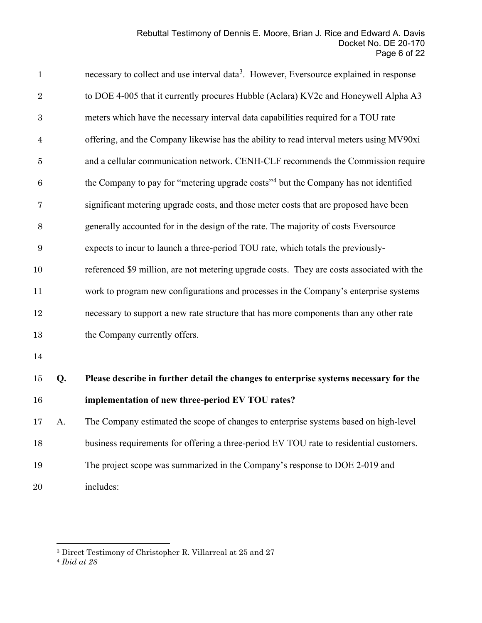| $\mathbf{1}$    |    | necessary to collect and use interval data <sup>3</sup> . However, Eversource explained in response |
|-----------------|----|-----------------------------------------------------------------------------------------------------|
| $\overline{2}$  |    | to DOE 4-005 that it currently procures Hubble (Aclara) KV2c and Honeywell Alpha A3                 |
| $\mathbf{3}$    |    | meters which have the necessary interval data capabilities required for a TOU rate                  |
| $\overline{4}$  |    | offering, and the Company likewise has the ability to read interval meters using MV90xi             |
| $\bf 5$         |    | and a cellular communication network. CENH-CLF recommends the Commission require                    |
| $\,6\,$         |    | the Company to pay for "metering upgrade costs" <sup>4</sup> but the Company has not identified     |
| $\overline{7}$  |    | significant metering upgrade costs, and those meter costs that are proposed have been               |
| $8\,$           |    | generally accounted for in the design of the rate. The majority of costs Eversource                 |
| $9\phantom{.0}$ |    | expects to incur to launch a three-period TOU rate, which totals the previously-                    |
| 10              |    | referenced \$9 million, are not metering upgrade costs. They are costs associated with the          |
| 11              |    | work to program new configurations and processes in the Company's enterprise systems                |
| $12\,$          |    | necessary to support a new rate structure that has more components than any other rate              |
| $13\,$          |    | the Company currently offers.                                                                       |
| 14              |    |                                                                                                     |
| 15              | Q. | Please describe in further detail the changes to enterprise systems necessary for the               |
| 16              |    | implementation of new three-period EV TOU rates?                                                    |
| 17              | A. | The Company estimated the scope of changes to enterprise systems based on high-level                |
| 18              |    | business requirements for offering a three-period EV TOU rate to residential customers.             |
| 19              |    | The project scope was summarized in the Company's response to DOE 2-019 and                         |

includes:

<span id="page-5-0"></span>Direct Testimony of Christopher R. Villarreal at 25 and 27

<span id="page-5-1"></span>*Ibid at 28*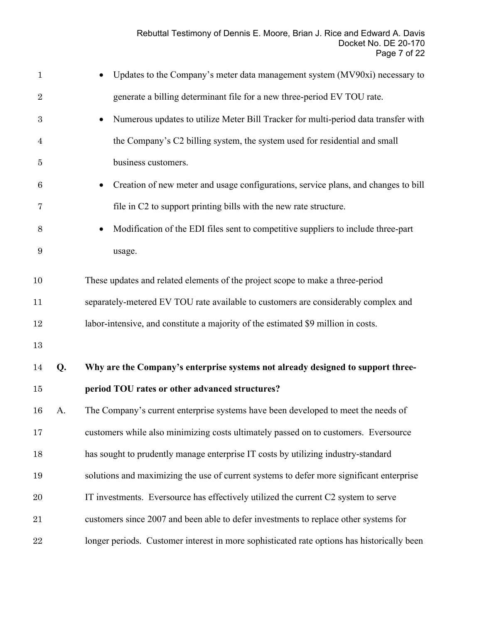| $\mathbf{1}$     |    | Updates to the Company's meter data management system (MV90xi) necessary to                |
|------------------|----|--------------------------------------------------------------------------------------------|
| $\sqrt{2}$       |    | generate a billing determinant file for a new three-period EV TOU rate.                    |
| $\boldsymbol{3}$ |    | Numerous updates to utilize Meter Bill Tracker for multi-period data transfer with         |
| 4                |    | the Company's C2 billing system, the system used for residential and small                 |
| 5                |    | business customers.                                                                        |
| $\,6\,$          |    | Creation of new meter and usage configurations, service plans, and changes to bill         |
| 7                |    | file in C2 to support printing bills with the new rate structure.                          |
| 8                |    | Modification of the EDI files sent to competitive suppliers to include three-part          |
| $\boldsymbol{9}$ |    | usage.                                                                                     |
| 10               |    | These updates and related elements of the project scope to make a three-period             |
| 11               |    | separately-metered EV TOU rate available to customers are considerably complex and         |
| 12               |    | labor-intensive, and constitute a majority of the estimated \$9 million in costs.          |
| 13               |    |                                                                                            |
| 14               | Q. | Why are the Company's enterprise systems not already designed to support three-            |
| 15               |    | period TOU rates or other advanced structures?                                             |
| 16               | A. | The Company's current enterprise systems have been developed to meet the needs of          |
| 17               |    | customers while also minimizing costs ultimately passed on to customers. Eversource        |
| 18               |    | has sought to prudently manage enterprise IT costs by utilizing industry-standard          |
| 19               |    | solutions and maximizing the use of current systems to defer more significant enterprise   |
| 20               |    | IT investments. Eversource has effectively utilized the current C2 system to serve         |
| 21               |    | customers since 2007 and been able to defer investments to replace other systems for       |
| 22               |    | longer periods. Customer interest in more sophisticated rate options has historically been |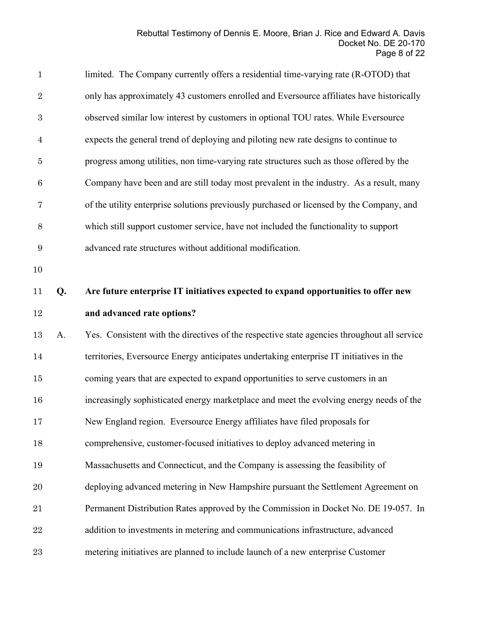| $\mathbf{1}$     |    | limited. The Company currently offers a residential time-varying rate (R-OTOD) that         |
|------------------|----|---------------------------------------------------------------------------------------------|
| $\sqrt{2}$       |    | only has approximately 43 customers enrolled and Eversource affiliates have historically    |
| $\boldsymbol{3}$ |    | observed similar low interest by customers in optional TOU rates. While Eversource          |
| $\overline{4}$   |    | expects the general trend of deploying and piloting new rate designs to continue to         |
| $\bf 5$          |    | progress among utilities, non time-varying rate structures such as those offered by the     |
| $\,6$            |    | Company have been and are still today most prevalent in the industry. As a result, many     |
| 7                |    | of the utility enterprise solutions previously purchased or licensed by the Company, and    |
| $8\,$            |    | which still support customer service, have not included the functionality to support        |
| $9\,$            |    | advanced rate structures without additional modification.                                   |
| 10               |    |                                                                                             |
| 11               | Q. | Are future enterprise IT initiatives expected to expand opportunities to offer new          |
| $12\,$           |    | and advanced rate options?                                                                  |
| 13               | A. | Yes. Consistent with the directives of the respective state agencies throughout all service |
| 14               |    | territories, Eversource Energy anticipates undertaking enterprise IT initiatives in the     |
| 15               |    | coming years that are expected to expand opportunities to serve customers in an             |
| 16               |    | increasingly sophisticated energy marketplace and meet the evolving energy needs of the     |
| 17               |    | New England region. Eversource Energy affiliates have filed proposals for                   |
| 18               |    | comprehensive, customer-focused initiatives to deploy advanced metering in                  |
| 19               |    | Massachusetts and Connecticut, and the Company is assessing the feasibility of              |
| 20               |    | deploying advanced metering in New Hampshire pursuant the Settlement Agreement on           |
| 21               |    | Permanent Distribution Rates approved by the Commission in Docket No. DE 19-057. In         |
| 22               |    | addition to investments in metering and communications infrastructure, advanced             |
| 23               |    | metering initiatives are planned to include launch of a new enterprise Customer             |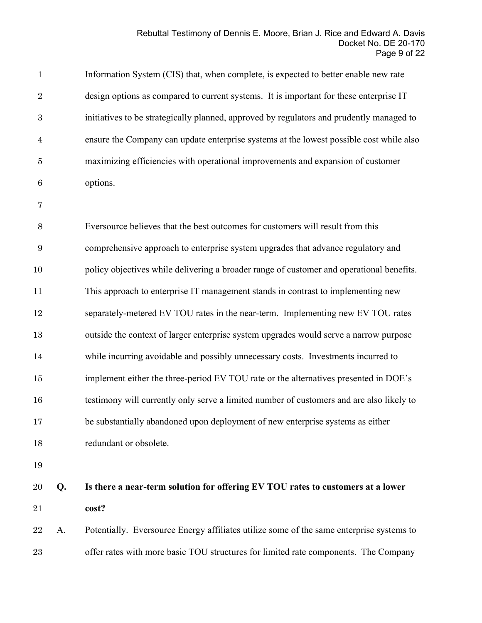| $\mathbf{1}$     |    | Information System (CIS) that, when complete, is expected to better enable new rate      |
|------------------|----|------------------------------------------------------------------------------------------|
| $\sqrt{2}$       |    | design options as compared to current systems. It is important for these enterprise IT   |
| $\boldsymbol{3}$ |    | initiatives to be strategically planned, approved by regulators and prudently managed to |
| $\overline{4}$   |    | ensure the Company can update enterprise systems at the lowest possible cost while also  |
| $\bf 5$          |    | maximizing efficiencies with operational improvements and expansion of customer          |
| $\,6$            |    | options.                                                                                 |
| 7                |    |                                                                                          |
| $8\,$            |    | Eversource believes that the best outcomes for customers will result from this           |
| 9                |    | comprehensive approach to enterprise system upgrades that advance regulatory and         |
| 10               |    | policy objectives while delivering a broader range of customer and operational benefits. |
| 11               |    | This approach to enterprise IT management stands in contrast to implementing new         |
| 12               |    | separately-metered EV TOU rates in the near-term. Implementing new EV TOU rates          |
| 13               |    | outside the context of larger enterprise system upgrades would serve a narrow purpose    |
| 14               |    | while incurring avoidable and possibly unnecessary costs. Investments incurred to        |
| $15\,$           |    | implement either the three-period EV TOU rate or the alternatives presented in DOE's     |
| 16               |    | testimony will currently only serve a limited number of customers and are also likely to |
| 17               |    | be substantially abandoned upon deployment of new enterprise systems as either           |
| 18               |    | redundant or obsolete.                                                                   |
| 19               |    |                                                                                          |
| 20               | Q. | Is there a near-term solution for offering EV TOU rates to customers at a lower          |
| 21               |    | cost?                                                                                    |
| 22               | A. | Potentially. Eversource Energy affiliates utilize some of the same enterprise systems to |
|                  |    |                                                                                          |

offer rates with more basic TOU structures for limited rate components. The Company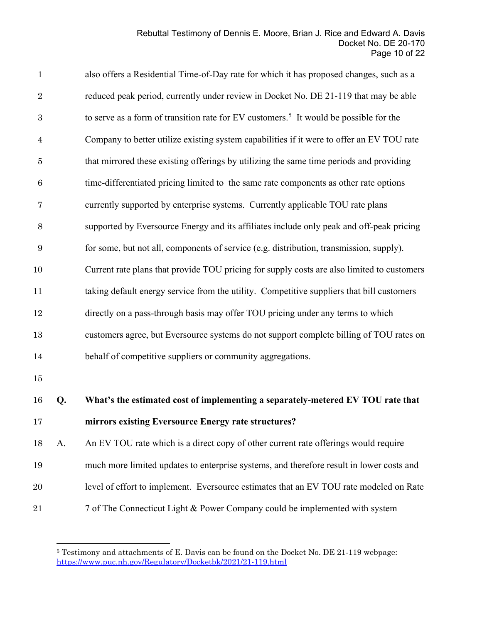| $\mathbf{1}$     |    | also offers a Residential Time-of-Day rate for which it has proposed changes, such as a           |
|------------------|----|---------------------------------------------------------------------------------------------------|
| $\overline{2}$   |    | reduced peak period, currently under review in Docket No. DE 21-119 that may be able              |
| $\boldsymbol{3}$ |    | to serve as a form of transition rate for EV customers. <sup>5</sup> It would be possible for the |
| $\overline{4}$   |    | Company to better utilize existing system capabilities if it were to offer an EV TOU rate         |
| $\bf 5$          |    | that mirrored these existing offerings by utilizing the same time periods and providing           |
| $\,6$            |    | time-differentiated pricing limited to the same rate components as other rate options             |
| $\overline{7}$   |    | currently supported by enterprise systems. Currently applicable TOU rate plans                    |
| $8\,$            |    | supported by Eversource Energy and its affiliates include only peak and off-peak pricing          |
| $9\,$            |    | for some, but not all, components of service (e.g. distribution, transmission, supply).           |
| 10               |    | Current rate plans that provide TOU pricing for supply costs are also limited to customers        |
| 11               |    | taking default energy service from the utility. Competitive suppliers that bill customers         |
| $12\,$           |    | directly on a pass-through basis may offer TOU pricing under any terms to which                   |
| 13               |    | customers agree, but Eversource systems do not support complete billing of TOU rates on           |
| 14               |    | behalf of competitive suppliers or community aggregations.                                        |
| 15               |    |                                                                                                   |
| 16               | Q. | What's the estimated cost of implementing a separately-metered EV TOU rate that                   |
| 17               |    | mirrors existing Eversource Energy rate structures?                                               |
| 18               | A. | An EV TOU rate which is a direct copy of other current rate offerings would require               |
| 19               |    | much more limited updates to enterprise systems, and therefore result in lower costs and          |
| 20               |    | level of effort to implement. Eversource estimates that an EV TOU rate modeled on Rate            |
| 21               |    | 7 of The Connecticut Light & Power Company could be implemented with system                       |

<span id="page-9-0"></span> Testimony and attachments of E. Davis can be found on the Docket No. DE 21-119 webpage: <https://www.puc.nh.gov/Regulatory/Docketbk/2021/21-119.html>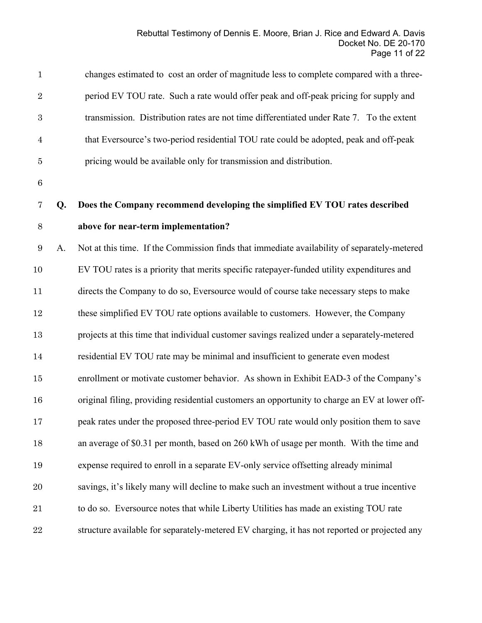| $\mathbf{1}$     |    | changes estimated to cost an order of magnitude less to complete compared with a three-       |
|------------------|----|-----------------------------------------------------------------------------------------------|
| $\overline{2}$   |    | period EV TOU rate. Such a rate would offer peak and off-peak pricing for supply and          |
| $\boldsymbol{3}$ |    | transmission. Distribution rates are not time differentiated under Rate 7. To the extent      |
| $\overline{4}$   |    | that Eversource's two-period residential TOU rate could be adopted, peak and off-peak         |
| 5                |    | pricing would be available only for transmission and distribution.                            |
| $\,6$            |    |                                                                                               |
| 7                | Q. | Does the Company recommend developing the simplified EV TOU rates described                   |
| $8\,$            |    | above for near-term implementation?                                                           |
| 9                | A. | Not at this time. If the Commission finds that immediate availability of separately-metered   |
| 10               |    | EV TOU rates is a priority that merits specific ratepayer-funded utility expenditures and     |
| 11               |    | directs the Company to do so, Eversource would of course take necessary steps to make         |
| 12               |    | these simplified EV TOU rate options available to customers. However, the Company             |
| 13               |    | projects at this time that individual customer savings realized under a separately-metered    |
| 14               |    | residential EV TOU rate may be minimal and insufficient to generate even modest               |
| $15\,$           |    | enrollment or motivate customer behavior. As shown in Exhibit EAD-3 of the Company's          |
| 16               |    | original filing, providing residential customers an opportunity to charge an EV at lower off- |
| 17               |    | peak rates under the proposed three-period EV TOU rate would only position them to save       |
| 18               |    | an average of \$0.31 per month, based on 260 kWh of usage per month. With the time and        |
| 19               |    | expense required to enroll in a separate EV-only service offsetting already minimal           |
| 20               |    | savings, it's likely many will decline to make such an investment without a true incentive    |
| 21               |    | to do so. Eversource notes that while Liberty Utilities has made an existing TOU rate         |
| 22               |    | structure available for separately-metered EV charging, it has not reported or projected any  |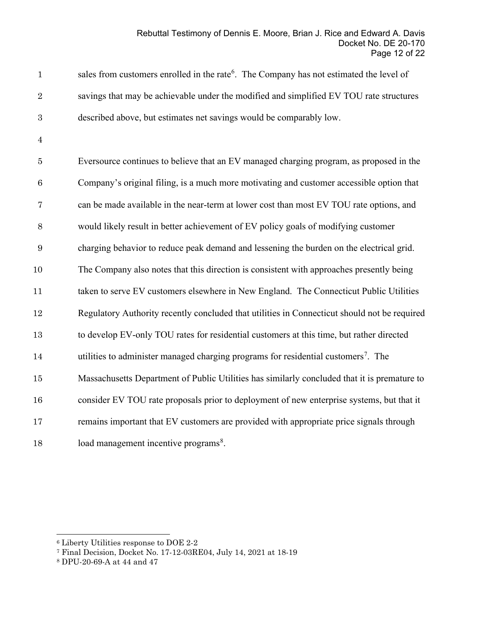| $\mathbf{1}$   | sales from customers enrolled in the rate <sup>6</sup> . The Company has not estimated the level of |
|----------------|-----------------------------------------------------------------------------------------------------|
| 2              | savings that may be achievable under the modified and simplified EV TOU rate structures             |
| -3             | described above, but estimates net savings would be comparably low.                                 |
| $\overline{4}$ |                                                                                                     |

 Eversource continues to believe that an EV managed charging program, as proposed in the Company's original filing, is a much more motivating and customer accessible option that can be made available in the near-term at lower cost than most EV TOU rate options, and would likely result in better achievement of EV policy goals of modifying customer charging behavior to reduce peak demand and lessening the burden on the electrical grid. The Company also notes that this direction is consistent with approaches presently being taken to serve EV customers elsewhere in New England. The Connecticut Public Utilities Regulatory Authority recently concluded that utilities in Connecticut should not be required to develop EV-only TOU rates for residential customers at this time, but rather directed 14 utilities to administer managed charging programs for residential customers<sup>[7](#page-11-1)</sup>. The Massachusetts Department of Public Utilities has similarly concluded that it is premature to consider EV TOU rate proposals prior to deployment of new enterprise systems, but that it remains important that EV customers are provided with appropriate price signals through [8](#page-11-2) load management incentive programs<sup>8</sup>.

<span id="page-11-0"></span>Liberty Utilities response to DOE 2-2

<span id="page-11-1"></span>Final Decision, Docket No. 17-12-03RE04, July 14, 2021 at 18-19

<span id="page-11-2"></span>DPU-20-69-A at 44 and 47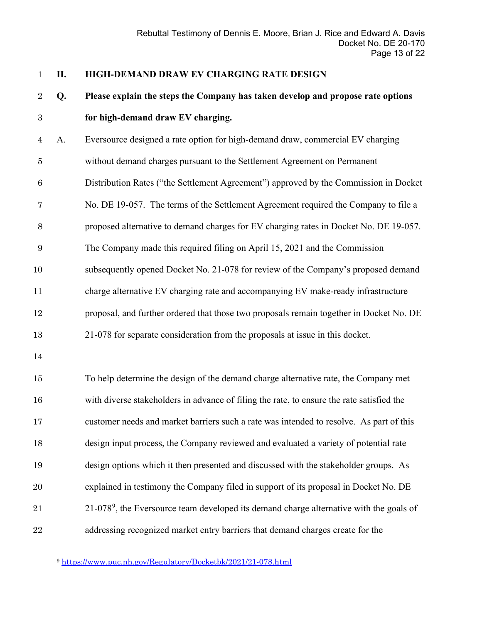### **II. HIGH-DEMAND DRAW EV CHARGING RATE DESIGN**

# **Q. Please explain the steps the Company has taken develop and propose rate options for high-demand draw EV charging.**

- A. Eversource designed a rate option for high-demand draw, commercial EV charging
- without demand charges pursuant to the Settlement Agreement on Permanent
- Distribution Rates ("the Settlement Agreement") approved by the Commission in Docket
- No. DE 19-057. The terms of the Settlement Agreement required the Company to file a
- proposed alternative to demand charges for EV charging rates in Docket No. DE 19-057.
- The Company made this required filing on April 15, 2021 and the Commission
- subsequently opened Docket No. 21-078 for review of the Company's proposed demand
- charge alternative EV charging rate and accompanying EV make-ready infrastructure
- proposal, and further ordered that those two proposals remain together in Docket No. DE
- 21-078 for separate consideration from the proposals at issue in this docket.
- 

 To help determine the design of the demand charge alternative rate, the Company met with diverse stakeholders in advance of filing the rate, to ensure the rate satisfied the customer needs and market barriers such a rate was intended to resolve. As part of this design input process, the Company reviewed and evaluated a variety of potential rate design options which it then presented and discussed with the stakeholder groups. As explained in testimony the Company filed in support of its proposal in Docket No. DE  $-21-078<sup>9</sup>$  $-21-078<sup>9</sup>$  $-21-078<sup>9</sup>$ , the Eversource team developed its demand charge alternative with the goals of addressing recognized market entry barriers that demand charges create for the

<span id="page-12-0"></span><https://www.puc.nh.gov/Regulatory/Docketbk/2021/21-078.html>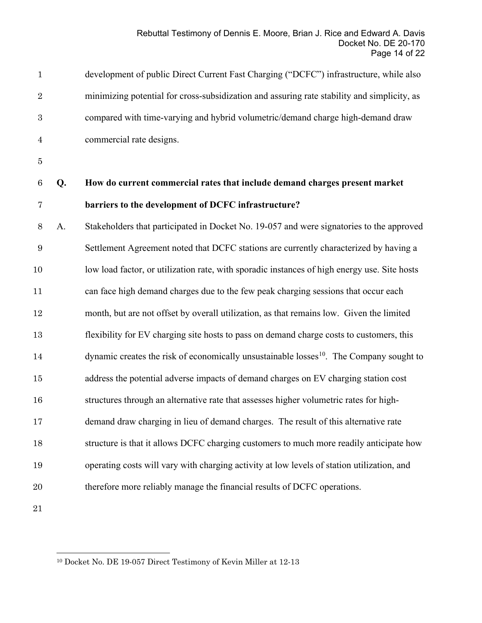| $\mathbf{1}$   |    | development of public Direct Current Fast Charging ("DCFC") infrastructure, while also              |
|----------------|----|-----------------------------------------------------------------------------------------------------|
| $\sqrt{2}$     |    | minimizing potential for cross-subsidization and assuring rate stability and simplicity, as         |
| $\sqrt{3}$     |    | compared with time-varying and hybrid volumetric/demand charge high-demand draw                     |
| $\overline{4}$ |    | commercial rate designs.                                                                            |
| $\bf 5$        |    |                                                                                                     |
| $\,6\,$        | Q. | How do current commercial rates that include demand charges present market                          |
| 7              |    | barriers to the development of DCFC infrastructure?                                                 |
| $8\,$          | A. | Stakeholders that participated in Docket No. 19-057 and were signatories to the approved            |
| $9\,$          |    | Settlement Agreement noted that DCFC stations are currently characterized by having a               |
| 10             |    | low load factor, or utilization rate, with sporadic instances of high energy use. Site hosts        |
| 11             |    | can face high demand charges due to the few peak charging sessions that occur each                  |
| 12             |    | month, but are not offset by overall utilization, as that remains low. Given the limited            |
| 13             |    | flexibility for EV charging site hosts to pass on demand charge costs to customers, this            |
| 14             |    | dynamic creates the risk of economically unsustainable losses <sup>10</sup> . The Company sought to |
| 15             |    | address the potential adverse impacts of demand charges on EV charging station cost                 |
| 16             |    | structures through an alternative rate that assesses higher volumetric rates for high-              |
| 17             |    | demand draw charging in lieu of demand charges. The result of this alternative rate                 |
| 18             |    | structure is that it allows DCFC charging customers to much more readily anticipate how             |
| 19             |    | operating costs will vary with charging activity at low levels of station utilization, and          |
| 20             |    | therefore more reliably manage the financial results of DCFC operations.                            |
| 21             |    |                                                                                                     |

<span id="page-13-0"></span> $^{\rm 10}$  Docket No. DE 19-057 Direct Testimony of Kevin Miller at 12-13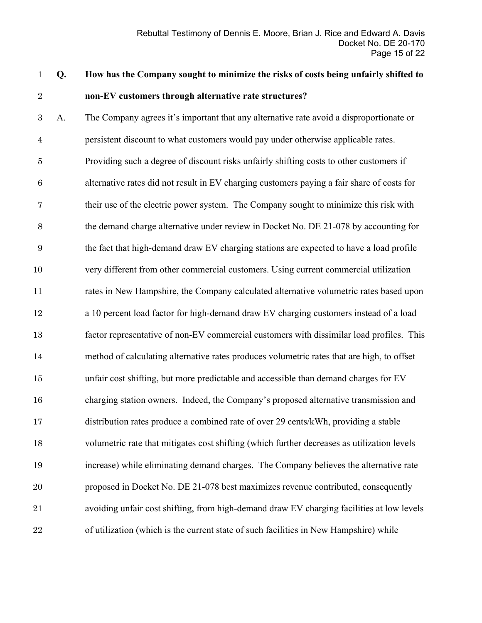# **Q. How has the Company sought to minimize the risks of costs being unfairly shifted to non-EV customers through alternative rate structures?**

 A. The Company agrees it's important that any alternative rate avoid a disproportionate or persistent discount to what customers would pay under otherwise applicable rates. Providing such a degree of discount risks unfairly shifting costs to other customers if alternative rates did not result in EV charging customers paying a fair share of costs for their use of the electric power system. The Company sought to minimize this risk with the demand charge alternative under review in Docket No. DE 21-078 by accounting for the fact that high-demand draw EV charging stations are expected to have a load profile very different from other commercial customers. Using current commercial utilization rates in New Hampshire, the Company calculated alternative volumetric rates based upon a 10 percent load factor for high-demand draw EV charging customers instead of a load factor representative of non-EV commercial customers with dissimilar load profiles. This method of calculating alternative rates produces volumetric rates that are high, to offset unfair cost shifting, but more predictable and accessible than demand charges for EV charging station owners. Indeed, the Company's proposed alternative transmission and distribution rates produce a combined rate of over 29 cents/kWh, providing a stable volumetric rate that mitigates cost shifting (which further decreases as utilization levels increase) while eliminating demand charges. The Company believes the alternative rate proposed in Docket No. DE 21-078 best maximizes revenue contributed, consequently avoiding unfair cost shifting, from high-demand draw EV charging facilities at low levels of utilization (which is the current state of such facilities in New Hampshire) while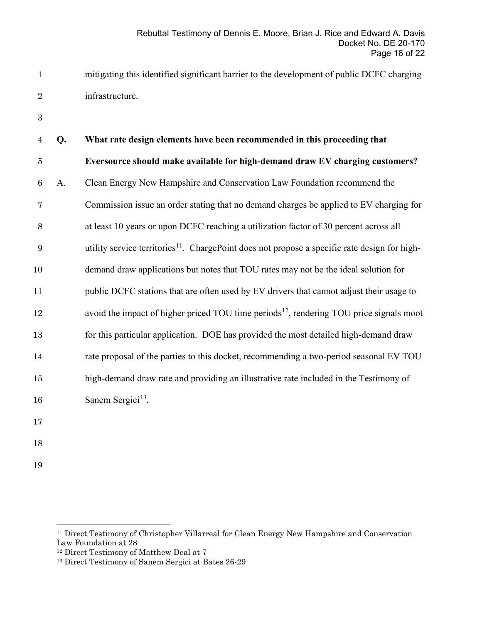- mitigating this identified significant barrier to the development of public DCFC charging infrastructure.
- 

| $\overline{4}$   | Q. | What rate design elements have been recommended in this proceeding that                                   |
|------------------|----|-----------------------------------------------------------------------------------------------------------|
| $\bf 5$          |    | Eversource should make available for high-demand draw EV charging customers?                              |
| $\,6\,$          | A. | Clean Energy New Hampshire and Conservation Law Foundation recommend the                                  |
| 7                |    | Commission issue an order stating that no demand charges be applied to EV charging for                    |
| $8\,$            |    | at least 10 years or upon DCFC reaching a utilization factor of 30 percent across all                     |
| $\boldsymbol{9}$ |    | utility service territories <sup>11</sup> . ChargePoint does not propose a specific rate design for high- |
| 10               |    | demand draw applications but notes that TOU rates may not be the ideal solution for                       |
| 11               |    | public DCFC stations that are often used by EV drivers that cannot adjust their usage to                  |
| 12               |    | avoid the impact of higher priced TOU time periods <sup>12</sup> , rendering TOU price signals moot       |
| 13               |    | for this particular application. DOE has provided the most detailed high-demand draw                      |
| 14               |    | rate proposal of the parties to this docket, recommending a two-period seasonal EV TOU                    |
| 15               |    | high-demand draw rate and providing an illustrative rate included in the Testimony of                     |
| 16               |    | Sanem Sergici <sup>13</sup> .                                                                             |
| 17               |    |                                                                                                           |
| 18               |    |                                                                                                           |

<span id="page-15-0"></span><sup>&</sup>lt;sup>11</sup> Direct Testimony of Christopher Villarreal for Clean Energy New Hampshire and Conservation Law Foundation at 28

<span id="page-15-1"></span> $^{\rm 12}$  Direct Testimony of Matthew Deal at  $7$ 

<span id="page-15-2"></span>Direct Testimony of Sanem Sergici at Bates 26-29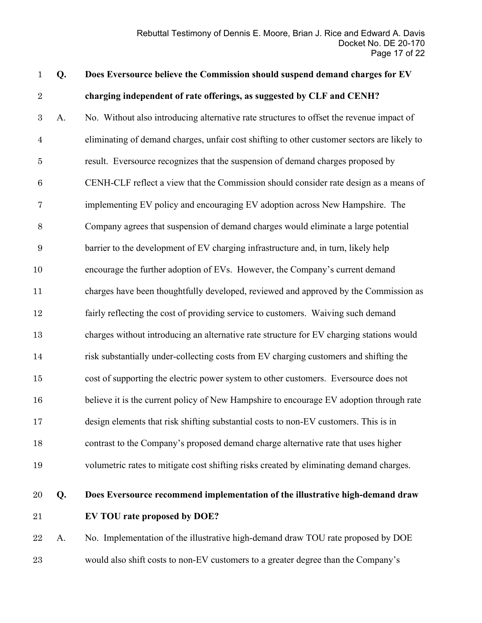| $\mathbf{1}$     | Q. | Does Eversource believe the Commission should suspend demand charges for EV                 |
|------------------|----|---------------------------------------------------------------------------------------------|
| $\sqrt{2}$       |    | charging independent of rate offerings, as suggested by CLF and CENH?                       |
| $\boldsymbol{3}$ | A. | No. Without also introducing alternative rate structures to offset the revenue impact of    |
| $\overline{4}$   |    | eliminating of demand charges, unfair cost shifting to other customer sectors are likely to |
| $\bf 5$          |    | result. Eversource recognizes that the suspension of demand charges proposed by             |
| $\,6$            |    | CENH-CLF reflect a view that the Commission should consider rate design as a means of       |
| 7                |    | implementing EV policy and encouraging EV adoption across New Hampshire. The                |
| $8\,$            |    | Company agrees that suspension of demand charges would eliminate a large potential          |
| $\boldsymbol{9}$ |    | barrier to the development of EV charging infrastructure and, in turn, likely help          |
| $10\,$           |    | encourage the further adoption of EVs. However, the Company's current demand                |
| 11               |    | charges have been thoughtfully developed, reviewed and approved by the Commission as        |
| $12\,$           |    | fairly reflecting the cost of providing service to customers. Waiving such demand           |
| $13\,$           |    | charges without introducing an alternative rate structure for EV charging stations would    |
| $14\,$           |    | risk substantially under-collecting costs from EV charging customers and shifting the       |
| 15               |    | cost of supporting the electric power system to other customers. Eversource does not        |
| $16\,$           |    | believe it is the current policy of New Hampshire to encourage EV adoption through rate     |
| 17               |    | design elements that risk shifting substantial costs to non-EV customers. This is in        |
| 18               |    | contrast to the Company's proposed demand charge alternative rate that uses higher          |
| 19               |    | volumetric rates to mitigate cost shifting risks created by eliminating demand charges.     |
| 20               | Q. | Does Eversource recommend implementation of the illustrative high-demand draw               |
| 21               |    | EV TOU rate proposed by DOE?                                                                |
|                  |    |                                                                                             |

 A. No. Implementation of the illustrative high-demand draw TOU rate proposed by DOE would also shift costs to non-EV customers to a greater degree than the Company's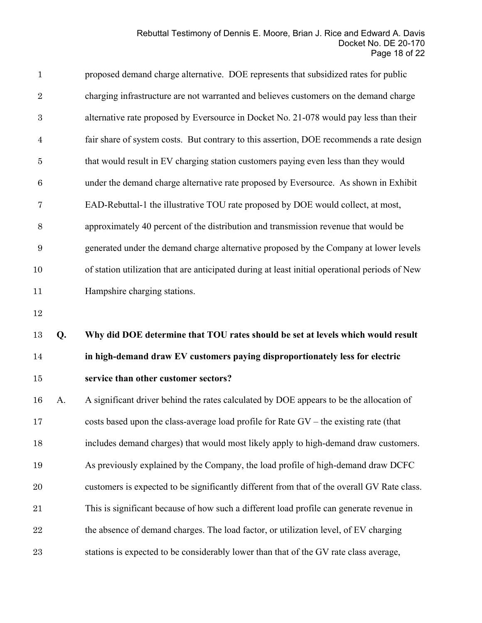| $\mathbf{1}$     |    | proposed demand charge alternative. DOE represents that subsidized rates for public            |
|------------------|----|------------------------------------------------------------------------------------------------|
| $\sqrt{2}$       |    | charging infrastructure are not warranted and believes customers on the demand charge          |
| $\boldsymbol{3}$ |    | alternative rate proposed by Eversource in Docket No. 21-078 would pay less than their         |
| $\overline{4}$   |    | fair share of system costs. But contrary to this assertion, DOE recommends a rate design       |
| $\bf 5$          |    | that would result in EV charging station customers paying even less than they would            |
| $\,6\,$          |    | under the demand charge alternative rate proposed by Eversource. As shown in Exhibit           |
| 7                |    | EAD-Rebuttal-1 the illustrative TOU rate proposed by DOE would collect, at most,               |
| $8\,$            |    | approximately 40 percent of the distribution and transmission revenue that would be            |
| $9\,$            |    | generated under the demand charge alternative proposed by the Company at lower levels          |
| 10               |    | of station utilization that are anticipated during at least initial operational periods of New |
| 11               |    | Hampshire charging stations.                                                                   |
|                  |    |                                                                                                |
| 12               |    |                                                                                                |
| 13               | Q. | Why did DOE determine that TOU rates should be set at levels which would result                |
| 14               |    | in high-demand draw EV customers paying disproportionately less for electric                   |
| 15               |    | service than other customer sectors?                                                           |
| 16               | A. | A significant driver behind the rates calculated by DOE appears to be the allocation of        |
| 17               |    | costs based upon the class-average load profile for Rate $GV$ – the existing rate (that        |
| 18               |    | includes demand charges) that would most likely apply to high-demand draw customers.           |
| 19               |    | As previously explained by the Company, the load profile of high-demand draw DCFC              |
| 20               |    | customers is expected to be significantly different from that of the overall GV Rate class.    |
| 21               |    | This is significant because of how such a different load profile can generate revenue in       |
| $\bf{22}$        |    | the absence of demand charges. The load factor, or utilization level, of EV charging           |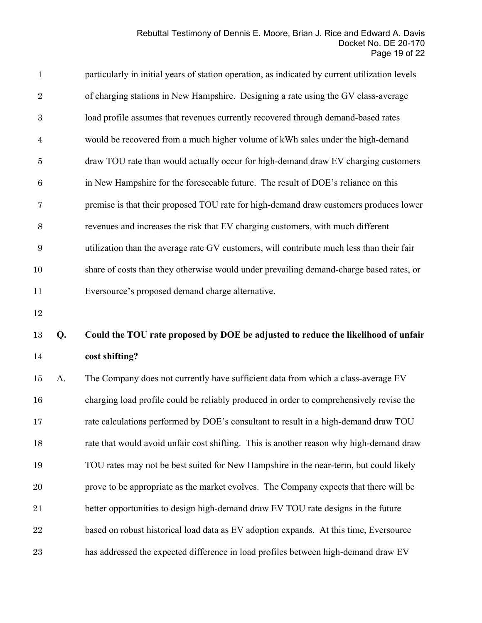| $\mathbf 1$      | particularly in initial years of station operation, as indicated by current utilization levels |
|------------------|------------------------------------------------------------------------------------------------|
| $\overline{2}$   | of charging stations in New Hampshire. Designing a rate using the GV class-average             |
| 3                | load profile assumes that revenues currently recovered through demand-based rates              |
| 4                | would be recovered from a much higher volume of kWh sales under the high-demand                |
| $\overline{5}$   | draw TOU rate than would actually occur for high-demand draw EV charging customers             |
| $\boldsymbol{6}$ | in New Hampshire for the foreseeable future. The result of DOE's reliance on this              |
| 7                | premise is that their proposed TOU rate for high-demand draw customers produces lower          |
| 8                | revenues and increases the risk that EV charging customers, with much different                |
| 9                | utilization than the average rate GV customers, will contribute much less than their fair      |
| 10               | share of costs than they otherwise would under prevailing demand-charge based rates, or        |
| 11               | Eversource's proposed demand charge alternative.                                               |
| 12               |                                                                                                |

## **Q. Could the TOU rate proposed by DOE be adjusted to reduce the likelihood of unfair cost shifting?**

 A. The Company does not currently have sufficient data from which a class-average EV charging load profile could be reliably produced in order to comprehensively revise the rate calculations performed by DOE's consultant to result in a high-demand draw TOU rate that would avoid unfair cost shifting. This is another reason why high-demand draw TOU rates may not be best suited for New Hampshire in the near-term, but could likely prove to be appropriate as the market evolves. The Company expects that there will be better opportunities to design high-demand draw EV TOU rate designs in the future 22 based on robust historical load data as EV adoption expands. At this time, Eversource has addressed the expected difference in load profiles between high-demand draw EV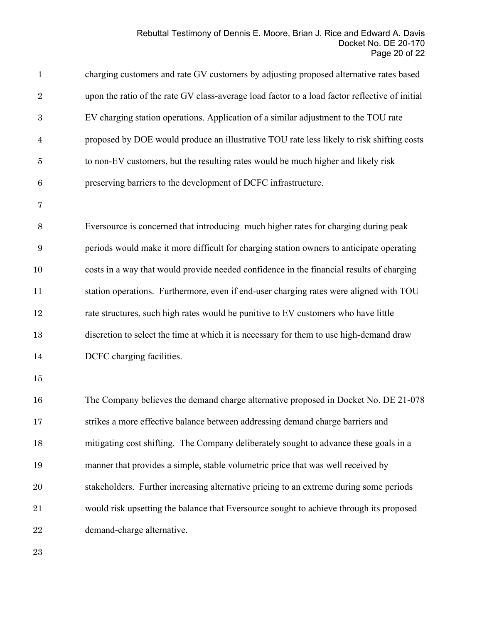| $\mathbf{1}$     | charging customers and rate GV customers by adjusting proposed alternative rates based         |
|------------------|------------------------------------------------------------------------------------------------|
| $\sqrt{2}$       | upon the ratio of the rate GV class-average load factor to a load factor reflective of initial |
| $\boldsymbol{3}$ | EV charging station operations. Application of a similar adjustment to the TOU rate            |
| $\overline{4}$   | proposed by DOE would produce an illustrative TOU rate less likely to risk shifting costs      |
| $\bf 5$          | to non-EV customers, but the resulting rates would be much higher and likely risk              |
| $\,6$            | preserving barriers to the development of DCFC infrastructure.                                 |
| 7                |                                                                                                |
| $8\,$            | Eversource is concerned that introducing much higher rates for charging during peak            |
| 9                | periods would make it more difficult for charging station owners to anticipate operating       |
| 10               | costs in a way that would provide needed confidence in the financial results of charging       |
| 11               | station operations. Furthermore, even if end-user charging rates were aligned with TOU         |
| 12               | rate structures, such high rates would be punitive to EV customers who have little             |
| 13               | discretion to select the time at which it is necessary for them to use high-demand draw        |
| 14               | DCFC charging facilities.                                                                      |
| $15\,$           |                                                                                                |
| 16               | The Company believes the demand charge alternative proposed in Docket No. DE 21-078            |
| 17               | strikes a more effective balance between addressing demand charge barriers and                 |
| 18               | mitigating cost shifting. The Company deliberately sought to advance these goals in a          |
| 19               | manner that provides a simple, stable volumetric price that was well received by               |
| 20               | stakeholders. Further increasing alternative pricing to an extreme during some periods         |
| 21               | would risk upsetting the balance that Eversource sought to achieve through its proposed        |
| 22               | demand-charge alternative.                                                                     |
|                  |                                                                                                |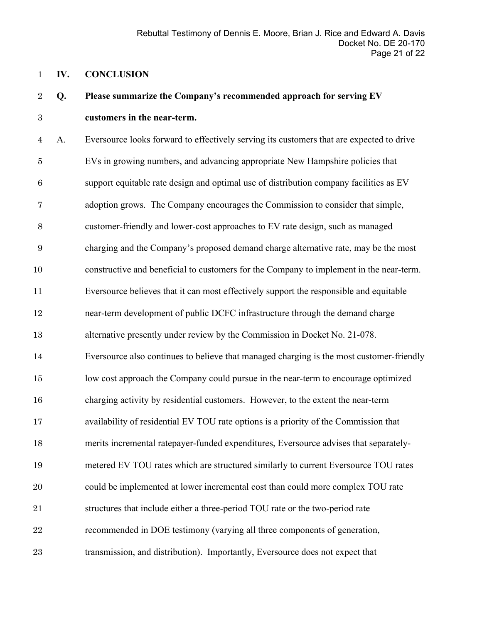### **IV. CONCLUSION**

### **Q. Please summarize the Company's recommended approach for serving EV customers in the near-term.**

 A. Eversource looks forward to effectively serving its customers that are expected to drive EVs in growing numbers, and advancing appropriate New Hampshire policies that support equitable rate design and optimal use of distribution company facilities as EV adoption grows. The Company encourages the Commission to consider that simple, customer-friendly and lower-cost approaches to EV rate design, such as managed charging and the Company's proposed demand charge alternative rate, may be the most constructive and beneficial to customers for the Company to implement in the near-term. Eversource believes that it can most effectively support the responsible and equitable near-term development of public DCFC infrastructure through the demand charge alternative presently under review by the Commission in Docket No. 21-078. Eversource also continues to believe that managed charging is the most customer-friendly low cost approach the Company could pursue in the near-term to encourage optimized charging activity by residential customers. However, to the extent the near-term availability of residential EV TOU rate options is a priority of the Commission that merits incremental ratepayer-funded expenditures, Eversource advises that separately- metered EV TOU rates which are structured similarly to current Eversource TOU rates could be implemented at lower incremental cost than could more complex TOU rate structures that include either a three-period TOU rate or the two-period rate recommended in DOE testimony (varying all three components of generation, transmission, and distribution). Importantly, Eversource does not expect that